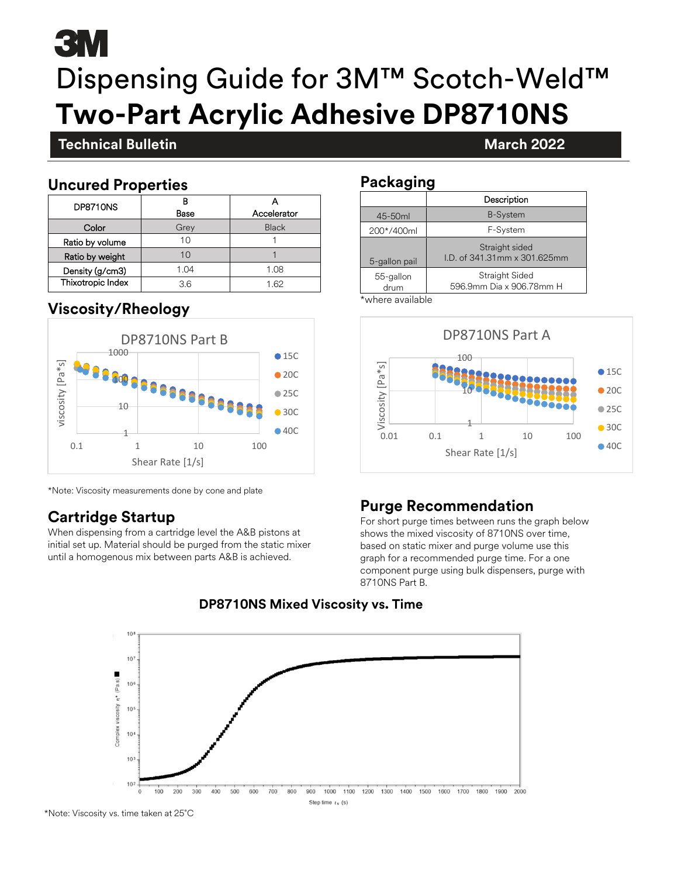# 3M Dispensing Guide for 3M™ Scotch-Weld™ **Two-Part Acrylic Adhesive DP8710NS**

#### **Technical Bulletin March 2022**

#### **November 2021 Uncured Properties**

| DP8710NS          |      |              |
|-------------------|------|--------------|
|                   | Base | Accelerator  |
| Color             | Grey | <b>Black</b> |
| Ratio by volume   | 10   |              |
| Ratio by weight   |      |              |
| Density (g/cm3)   | 1.04 | 1.08         |
| Thixotropic Index | 36   | 1 62         |

#### **Viscosity/Rheology**



\*Note: Viscosity measurements done by cone and plate

### **Cartridge Startup**

When dispensing from a cartridge level the A&B pistons at initial set up. Material should be purged from the static mixer until a homogenous mix between parts A&B is achieved.

#### **Packaging**

|                   | Description                                    |  |
|-------------------|------------------------------------------------|--|
| 45-50ml           | <b>B-System</b>                                |  |
| 200*/400ml        | F-System                                       |  |
| 5-gallon pail     | Straight sided<br>I.D. of 341.31mm x 301.625mm |  |
| 55-gallon<br>drum | Straight Sided<br>596.9mm Dia x 906.78mm H     |  |

\*where available



### **Purge Recommendation**

For short purge times between runs the graph below shows the mixed viscosity of 8710NS over time, based on static mixer and purge volume use this graph for a recommended purge time. For a one component purge using bulk dispensers, purge with 8710NS Part B.



#### **DP8710NS Mixed Viscosity vs. Time**